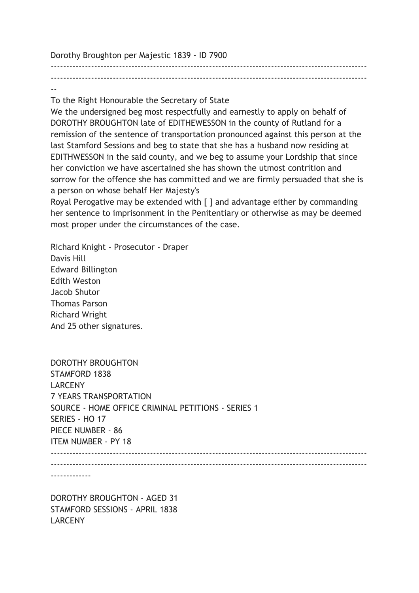Dorothy Broughton per Majestic 1839 - ID 7900

------------------------------------------------------------------------------------------------------ ------------------------------------------------------------------------------------------------------ --

To the Right Honourable the Secretary of State

We the undersigned beg most respectfully and earnestly to apply on behalf of DOROTHY BROUGHTON late of EDITHEWESSON in the county of Rutland for a remission of the sentence of transportation pronounced against this person at the last Stamford Sessions and beg to state that she has a husband now residing at EDITHWESSON in the said county, and we beg to assume your Lordship that since her conviction we have ascertained she has shown the utmost contrition and sorrow for the offence she has committed and we are firmly persuaded that she is a person on whose behalf Her Majesty's

Royal Perogative may be extended with [ ] and advantage either by commanding her sentence to imprisonment in the Penitentiary or otherwise as may be deemed most proper under the circumstances of the case.

Richard Knight - Prosecutor - Draper Davis Hill Edward Billington Edith Weston Jacob Shutor Thomas Parson Richard Wright And 25 other signatures.

| DOROTHY BROUGHTON                                  |
|----------------------------------------------------|
| <b>STAMFORD 1838</b>                               |
| <b>LARCENY</b>                                     |
| <b>7 YEARS TRANSPORTATION</b>                      |
| SOURCE - HOME OFFICE CRIMINAL PETITIONS - SERIES 1 |
| SERIES - HO 17                                     |
| PIECE NUMBER - 86                                  |
| <b>ITEM NUMBER - PY 18</b>                         |
|                                                    |
|                                                    |
|                                                    |

-------------

DOROTHY BROUGHTON - AGED 31 STAMFORD SESSIONS - APRIL 1838 LARCENY